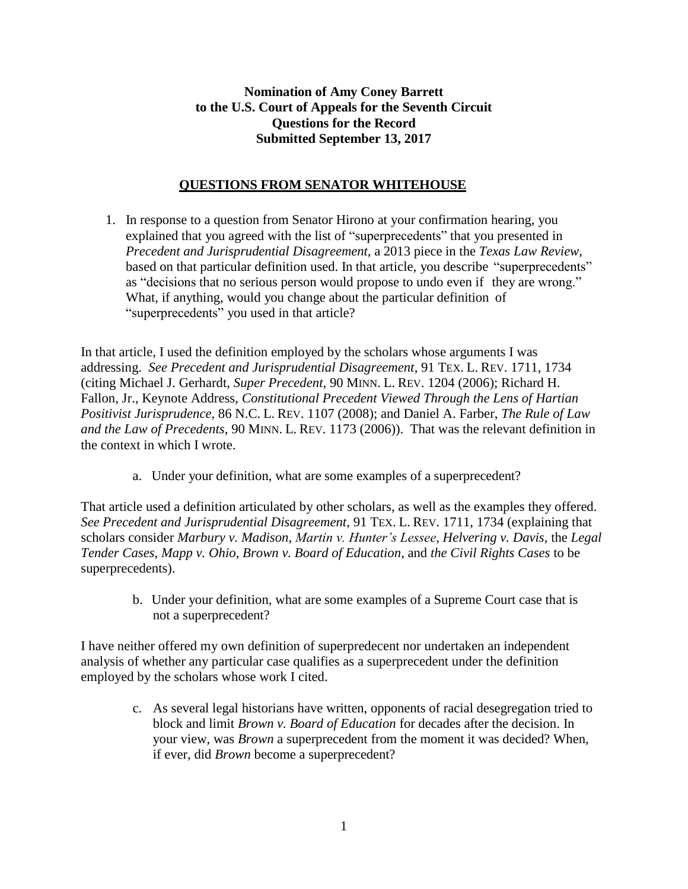## **Nomination of Amy Coney Barrett to the U.S. Court of Appeals for the Seventh Circuit Questions for the Record Submitted September 13, 2017**

## **QUESTIONS FROM SENATOR WHITEHOUSE**

1. In response to a question from Senator Hirono at your confirmation hearing, you explained that you agreed with the list of "superprecedents" that you presented in *Precedent and Jurisprudential Disagreement*, a 2013 piece in the *Texas Law Review*, based on that particular definition used. In that article, you describe "superprecedents" as "decisions that no serious person would propose to undo even if they are wrong." What, if anything, would you change about the particular definition of "superprecedents" you used in that article?

In that article, I used the definition employed by the scholars whose arguments I was addressing. *See Precedent and Jurisprudential Disagreement*, 91 TEX. L. REV. 1711, 1734 (citing Michael J. Gerhardt, *Super Precedent*, 90 MINN. L. REV. 1204 (2006); Richard H. Fallon, Jr., Keynote Address, *Constitutional Precedent Viewed Through the Lens of Hartian Positivist Jurisprudence*, 86 N.C. L. REV. 1107 (2008); and Daniel A. Farber, *The Rule of Law and the Law of Precedents*, 90 MINN. L. REV. 1173 (2006)). That was the relevant definition in the context in which I wrote.

a. Under your definition, what are some examples of a superprecedent?

That article used a definition articulated by other scholars, as well as the examples they offered. *See Precedent and Jurisprudential Disagreement*, 91 TEX. L. REV. 1711, 1734 (explaining that scholars consider *Marbury v. Madison*, *Martin v. Hunter's Lessee*, *Helvering v. Davis*, the *Legal Tender Cases*, *Mapp v. Ohio*, *Brown v. Board of Education*, and *the Civil Rights Cases* to be superprecedents).

b. Under your definition, what are some examples of a Supreme Court case that is not a superprecedent?

I have neither offered my own definition of superpredecent nor undertaken an independent analysis of whether any particular case qualifies as a superprecedent under the definition employed by the scholars whose work I cited.

> c. As several legal historians have written, opponents of racial desegregation tried to block and limit *Brown v. Board of Education* for decades after the decision. In your view, was *Brown* a superprecedent from the moment it was decided? When, if ever, did *Brown* become a superprecedent?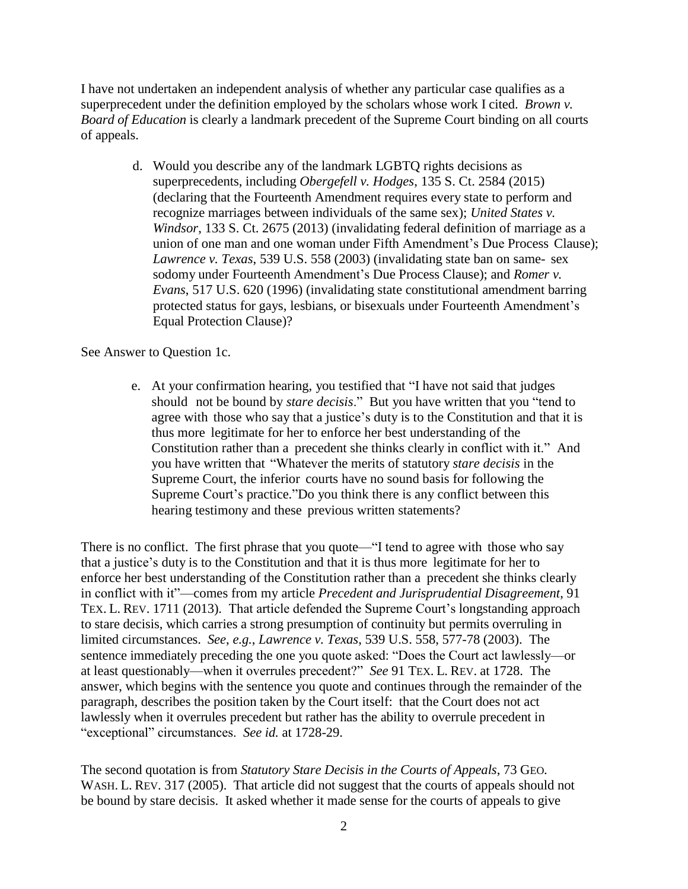I have not undertaken an independent analysis of whether any particular case qualifies as a superprecedent under the definition employed by the scholars whose work I cited. *Brown v. Board of Education* is clearly a landmark precedent of the Supreme Court binding on all courts of appeals.

> d. Would you describe any of the landmark LGBTQ rights decisions as superprecedents, including *Obergefell v. Hodges*, 135 S. Ct. 2584 (2015) (declaring that the Fourteenth Amendment requires every state to perform and recognize marriages between individuals of the same sex); *United States v. Windsor*, 133 S. Ct. 2675 (2013) (invalidating federal definition of marriage as a union of one man and one woman under Fifth Amendment's Due Process Clause); *Lawrence v. Texas*, 539 U.S. 558 (2003) (invalidating state ban on same- sex sodomy under Fourteenth Amendment's Due Process Clause); and *Romer v. Evans*, 517 U.S. 620 (1996) (invalidating state constitutional amendment barring protected status for gays, lesbians, or bisexuals under Fourteenth Amendment's Equal Protection Clause)?

See Answer to Question 1c.

e. At your confirmation hearing, you testified that "I have not said that judges should not be bound by *stare decisis*." But you have written that you "tend to agree with those who say that a justice's duty is to the Constitution and that it is thus more legitimate for her to enforce her best understanding of the Constitution rather than a precedent she thinks clearly in conflict with it." And you have written that "Whatever the merits of statutory *stare decisis* in the Supreme Court, the inferior courts have no sound basis for following the Supreme Court's practice."Do you think there is any conflict between this hearing testimony and these previous written statements?

There is no conflict. The first phrase that you quote—"I tend to agree with those who say that a justice's duty is to the Constitution and that it is thus more legitimate for her to enforce her best understanding of the Constitution rather than a precedent she thinks clearly in conflict with it"—comes from my article *Precedent and Jurisprudential Disagreement*, 91 TEX. L. REV. 1711 (2013). That article defended the Supreme Court's longstanding approach to stare decisis, which carries a strong presumption of continuity but permits overruling in limited circumstances. *See*, *e.g.*, *Lawrence v. Texas*, 539 U.S. 558, 577-78 (2003). The sentence immediately preceding the one you quote asked: "Does the Court act lawlessly—or at least questionably—when it overrules precedent?" *See* 91 TEX. L. REV. at 1728. The answer, which begins with the sentence you quote and continues through the remainder of the paragraph, describes the position taken by the Court itself: that the Court does not act lawlessly when it overrules precedent but rather has the ability to overrule precedent in "exceptional" circumstances. *See id.* at 1728-29.

The second quotation is from *Statutory Stare Decisis in the Courts of Appeals*, 73 GEO. WASH. L. REV. 317 (2005). That article did not suggest that the courts of appeals should not be bound by stare decisis. It asked whether it made sense for the courts of appeals to give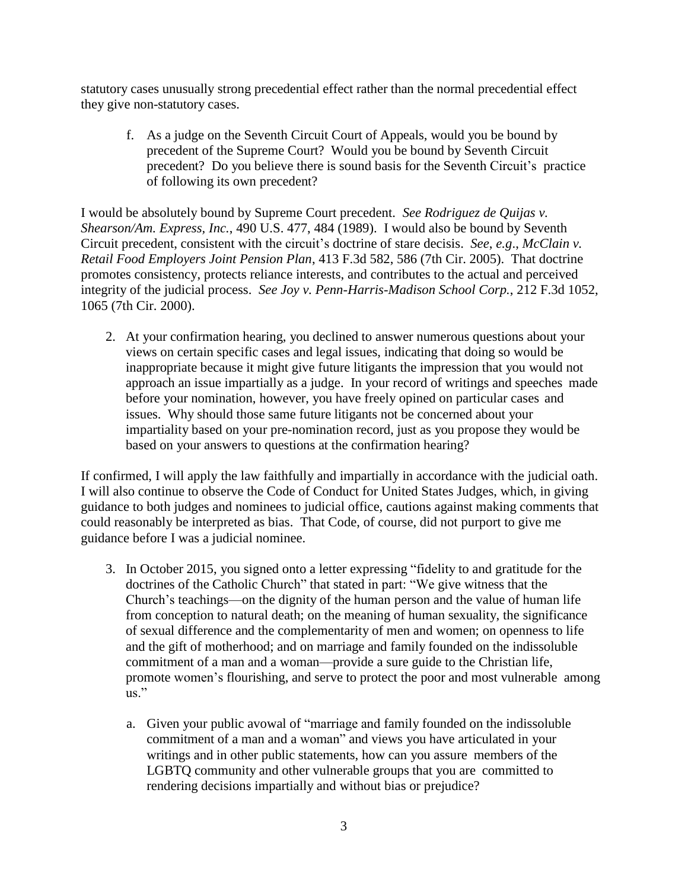statutory cases unusually strong precedential effect rather than the normal precedential effect they give non-statutory cases.

f. As a judge on the Seventh Circuit Court of Appeals, would you be bound by precedent of the Supreme Court? Would you be bound by Seventh Circuit precedent? Do you believe there is sound basis for the Seventh Circuit's practice of following its own precedent?

I would be absolutely bound by Supreme Court precedent. *See Rodriguez de Quijas v. Shearson/Am. Express, Inc.*, 490 U.S. 477, 484 (1989). I would also be bound by Seventh Circuit precedent, consistent with the circuit's doctrine of stare decisis. *See*, *e.g*., *McClain v. Retail Food Employers Joint Pension Plan*, 413 F.3d 582, 586 (7th Cir. 2005). That doctrine promotes consistency, protects reliance interests, and contributes to the actual and perceived integrity of the judicial process. *See Joy v. Penn-Harris-Madison School Corp.*, 212 F.3d 1052, 1065 (7th Cir. 2000).

2. At your confirmation hearing, you declined to answer numerous questions about your views on certain specific cases and legal issues, indicating that doing so would be inappropriate because it might give future litigants the impression that you would not approach an issue impartially as a judge. In your record of writings and speeches made before your nomination, however, you have freely opined on particular cases and issues. Why should those same future litigants not be concerned about your impartiality based on your pre-nomination record, just as you propose they would be based on your answers to questions at the confirmation hearing?

If confirmed, I will apply the law faithfully and impartially in accordance with the judicial oath. I will also continue to observe the Code of Conduct for United States Judges, which, in giving guidance to both judges and nominees to judicial office, cautions against making comments that could reasonably be interpreted as bias. That Code, of course, did not purport to give me guidance before I was a judicial nominee.

- 3. In October 2015, you signed onto a letter expressing "fidelity to and gratitude for the doctrines of the Catholic Church" that stated in part: "We give witness that the Church's teachings—on the dignity of the human person and the value of human life from conception to natural death; on the meaning of human sexuality, the significance of sexual difference and the complementarity of men and women; on openness to life and the gift of motherhood; and on marriage and family founded on the indissoluble commitment of a man and a woman—provide a sure guide to the Christian life, promote women's flourishing, and serve to protect the poor and most vulnerable among us."
	- a. Given your public avowal of "marriage and family founded on the indissoluble commitment of a man and a woman" and views you have articulated in your writings and in other public statements, how can you assure members of the LGBTQ community and other vulnerable groups that you are committed to rendering decisions impartially and without bias or prejudice?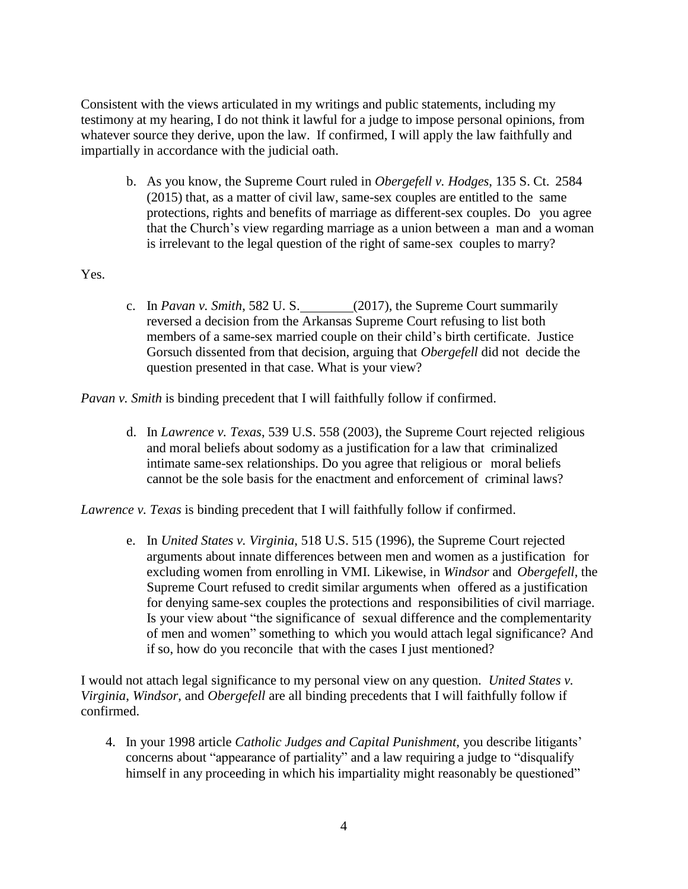Consistent with the views articulated in my writings and public statements, including my testimony at my hearing, I do not think it lawful for a judge to impose personal opinions, from whatever source they derive, upon the law. If confirmed, I will apply the law faithfully and impartially in accordance with the judicial oath.

b. As you know, the Supreme Court ruled in *Obergefell v. Hodges*, 135 S. Ct. 2584 (2015) that, as a matter of civil law, same-sex couples are entitled to the same protections, rights and benefits of marriage as different-sex couples. Do you agree that the Church's view regarding marriage as a union between a man and a woman is irrelevant to the legal question of the right of same-sex couples to marry?

Yes.

c. In *Pavan v. Smith*, 582 U. S. (2017), the Supreme Court summarily reversed a decision from the Arkansas Supreme Court refusing to list both members of a same-sex married couple on their child's birth certificate. Justice Gorsuch dissented from that decision, arguing that *Obergefell* did not decide the question presented in that case. What is your view?

*Pavan v. Smith* is binding precedent that I will faithfully follow if confirmed.

d. In *Lawrence v. Texas*, 539 U.S. 558 (2003), the Supreme Court rejected religious and moral beliefs about sodomy as a justification for a law that criminalized intimate same-sex relationships. Do you agree that religious or moral beliefs cannot be the sole basis for the enactment and enforcement of criminal laws?

*Lawrence v. Texas* is binding precedent that I will faithfully follow if confirmed.

e. In *United States v. Virginia*, 518 U.S. 515 (1996), the Supreme Court rejected arguments about innate differences between men and women as a justification for excluding women from enrolling in VMI. Likewise, in *Windsor* and *Obergefell*, the Supreme Court refused to credit similar arguments when offered as a justification for denying same-sex couples the protections and responsibilities of civil marriage. Is your view about "the significance of sexual difference and the complementarity of men and women" something to which you would attach legal significance? And if so, how do you reconcile that with the cases I just mentioned?

I would not attach legal significance to my personal view on any question. *United States v. Virginia*, *Windsor*, and *Obergefell* are all binding precedents that I will faithfully follow if confirmed.

4. In your 1998 article *Catholic Judges and Capital Punishment*, you describe litigants' concerns about "appearance of partiality" and a law requiring a judge to "disqualify himself in any proceeding in which his impartiality might reasonably be questioned"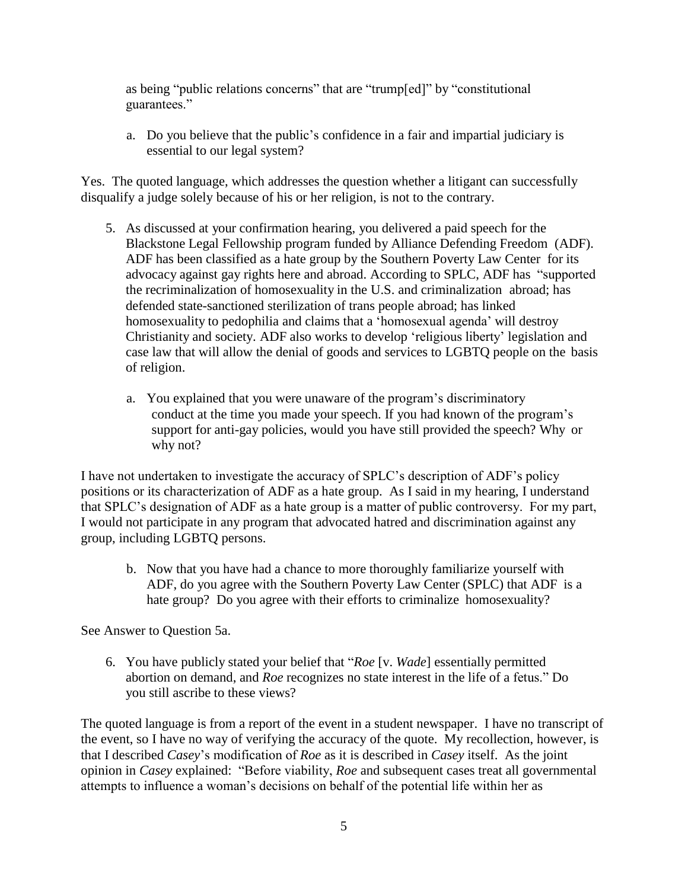as being "public relations concerns" that are "trump[ed]" by "constitutional guarantees."

a. Do you believe that the public's confidence in a fair and impartial judiciary is essential to our legal system?

Yes. The quoted language, which addresses the question whether a litigant can successfully disqualify a judge solely because of his or her religion, is not to the contrary.

- 5. As discussed at your confirmation hearing, you delivered a paid speech for the Blackstone Legal Fellowship program funded by Alliance Defending Freedom (ADF). ADF has been classified as a hate group by the Southern Poverty Law Center for its advocacy against gay rights here and abroad. According to SPLC, ADF has "supported the recriminalization of homosexuality in the U.S. and criminalization abroad; has defended state-sanctioned sterilization of trans people abroad; has linked homosexuality to pedophilia and claims that a 'homosexual agenda' will destroy Christianity and society. ADF also works to develop 'religious liberty' legislation and case law that will allow the denial of goods and services to LGBTQ people on the basis of religion.
	- a. You explained that you were unaware of the program's discriminatory conduct at the time you made your speech. If you had known of the program's support for anti-gay policies, would you have still provided the speech? Why or why not?

I have not undertaken to investigate the accuracy of SPLC's description of ADF's policy positions or its characterization of ADF as a hate group. As I said in my hearing, I understand that SPLC's designation of ADF as a hate group is a matter of public controversy. For my part, I would not participate in any program that advocated hatred and discrimination against any group, including LGBTQ persons.

b. Now that you have had a chance to more thoroughly familiarize yourself with ADF, do you agree with the Southern Poverty Law Center (SPLC) that ADF is a hate group? Do you agree with their efforts to criminalize homosexuality?

See Answer to Question 5a.

6. You have publicly stated your belief that "*Roe* [v. *Wade*] essentially permitted abortion on demand, and *Roe* recognizes no state interest in the life of a fetus." Do you still ascribe to these views?

The quoted language is from a report of the event in a student newspaper. I have no transcript of the event, so I have no way of verifying the accuracy of the quote. My recollection, however, is that I described *Casey*'s modification of *Roe* as it is described in *Casey* itself. As the joint opinion in *Casey* explained: "Before viability, *Roe* and subsequent cases treat all governmental attempts to influence a woman's decisions on behalf of the potential life within her as